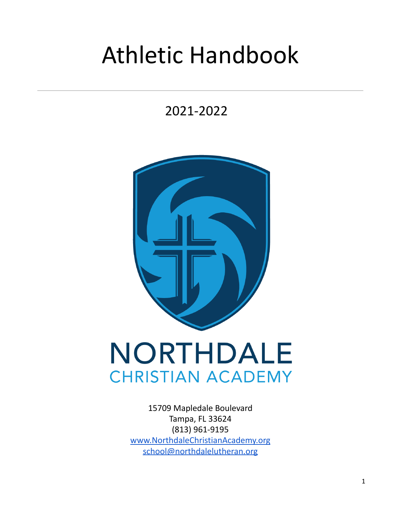# Athletic Handbook

2021-2022



## NORTHDALE **CHRISTIAN ACADEMY**

15709 Mapledale Boulevard Tampa, FL 33624 (813) 961-9195 [www.NorthdaleChristianAcademy.org](http://www.northdalechristianacademy.org) [school@northdalelutheran.org](mailto:school@northdalelutheran.org)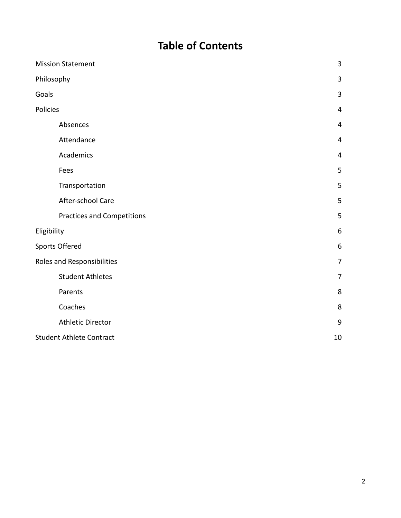## **Table of Contents**

| <b>Mission Statement</b>          | 3              |
|-----------------------------------|----------------|
| Philosophy                        | $\overline{3}$ |
| Goals                             | 3              |
| Policies                          | 4              |
| Absences                          | 4              |
| Attendance                        | 4              |
| Academics                         | $\overline{4}$ |
| Fees                              | 5              |
| Transportation                    | 5              |
| After-school Care                 | 5              |
| <b>Practices and Competitions</b> | 5              |
| Eligibility                       | 6              |
| <b>Sports Offered</b>             | 6              |
| Roles and Responsibilities        | $\overline{7}$ |
| <b>Student Athletes</b>           | 7              |
| Parents                           | 8              |
| Coaches                           | 8              |
| <b>Athletic Director</b>          | 9              |
| <b>Student Athlete Contract</b>   |                |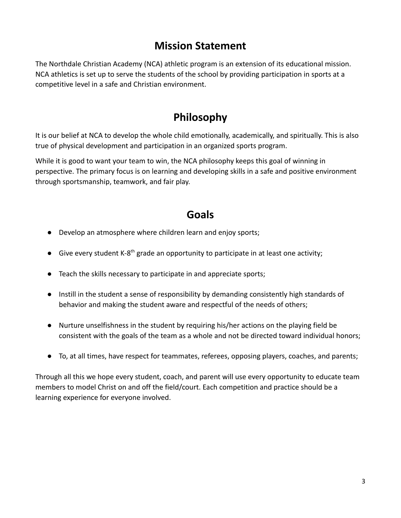#### **Mission Statement**

The Northdale Christian Academy (NCA) athletic program is an extension of its educational mission. NCA athletics is set up to serve the students of the school by providing participation in sports at a competitive level in a safe and Christian environment.

## **Philosophy**

It is our belief at NCA to develop the whole child emotionally, academically, and spiritually. This is also true of physical development and participation in an organized sports program.

While it is good to want your team to win, the NCA philosophy keeps this goal of winning in perspective. The primary focus is on learning and developing skills in a safe and positive environment through sportsmanship, teamwork, and fair play.

#### **Goals**

- Develop an atmosphere where children learn and enjoy sports;
- $\bullet$  Give every student K-8<sup>th</sup> grade an opportunity to participate in at least one activity;
- Teach the skills necessary to participate in and appreciate sports;
- Instill in the student a sense of responsibility by demanding consistently high standards of behavior and making the student aware and respectful of the needs of others;
- Nurture unselfishness in the student by requiring his/her actions on the playing field be consistent with the goals of the team as a whole and not be directed toward individual honors;
- To, at all times, have respect for teammates, referees, opposing players, coaches, and parents;

Through all this we hope every student, coach, and parent will use every opportunity to educate team members to model Christ on and off the field/court. Each competition and practice should be a learning experience for everyone involved.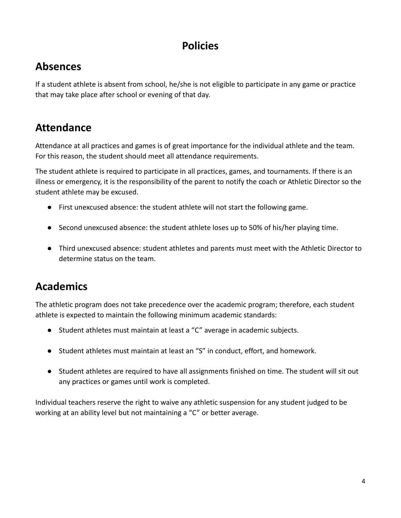#### **Policies**

#### **Absences**

If a student athlete is absent from school, he/she is not eligible to participate in any game or practice that may take place after school or evening of that day.

#### **Attendance**

Attendance at all practices and games is of great importance for the individual athlete and the team. For this reason, the student should meet all attendance requirements.

The student athlete is required to participate in all practices, games, and tournaments. If there is an illness or emergency, it is the responsibility of the parent to notify the coach or Athletic Director so the student athlete may be excused.

- First unexcused absence: the student athlete will not start the following game.
- Second unexcused absence: the student athlete loses up to 50% of his/her playing time.
- Third unexcused absence: student athletes and parents must meet with the Athletic Director to determine status on the team.

## **Academics**

The athletic program does not take precedence over the academic program; therefore, each student athlete is expected to maintain the following minimum academic standards:

- Student athletes must maintain at least a "C" average in academic subjects.
- Student athletes must maintain at least an "S" in conduct, effort, and homework.
- Student athletes are required to have all assignments finished on time. The student will sit out any practices or games until work is completed.

Individual teachers reserve the right to waive any athletic suspension for any student judged to be working at an ability level but not maintaining a "C" or better average.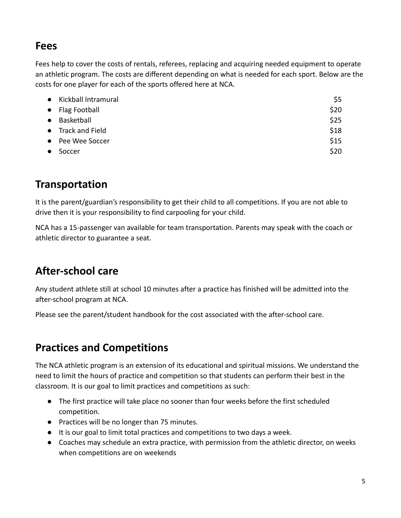#### **Fees**

Fees help to cover the costs of rentals, referees, replacing and acquiring needed equipment to operate an athletic program. The costs are different depending on what is needed for each sport. Below are the costs for one player for each of the sports offered here at NCA.

|           | • Kickball Intramural | \$5  |
|-----------|-----------------------|------|
|           | • Flag Football       | \$20 |
| $\bullet$ | Basketball            | \$25 |
|           | • Track and Field     | \$18 |
|           | • Pee Wee Soccer      | \$15 |
|           | Soccer                | \$20 |

## **Transportation**

It is the parent/guardian's responsibility to get their child to all competitions. If you are not able to drive then it is your responsibility to find carpooling for your child.

NCA has a 15-passenger van available for team transportation. Parents may speak with the coach or athletic director to guarantee a seat.

## **After-school care**

Any student athlete still at school 10 minutes after a practice has finished will be admitted into the after-school program at NCA.

Please see the parent/student handbook for the cost associated with the after-school care.

## **Practices and Competitions**

The NCA athletic program is an extension of its educational and spiritual missions. We understand the need to limit the hours of practice and competition so that students can perform their best in the classroom. It is our goal to limit practices and competitions as such:

- The first practice will take place no sooner than four weeks before the first scheduled competition.
- Practices will be no longer than 75 minutes.
- It is our goal to limit total practices and competitions to two days a week.
- Coaches may schedule an extra practice, with permission from the athletic director, on weeks when competitions are on weekends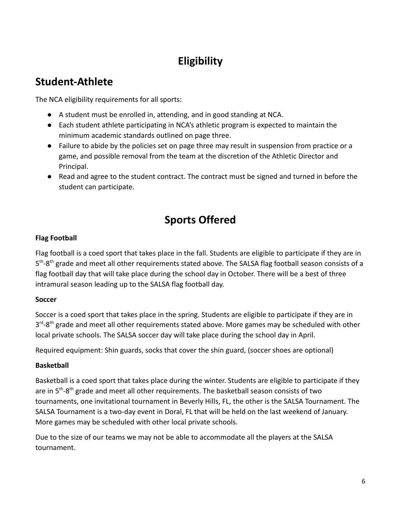## **Eligibility**

#### **Student-Athlete**

The NCA eligibility requirements for all sports:

- A student must be enrolled in, attending, and in good standing at NCA.
- Each student athlete participating in NCA's athletic program is expected to maintain the minimum academic standards outlined on page three.
- Failure to abide by the policies set on page three may result in suspension from practice or a game, and possible removal from the team at the discretion of the Athletic Director and Principal.
- Read and agree to the student contract. The contract must be signed and turned in before the student can participate.

## **Sports Offered**

#### **Flag Football**

Flag football is a coed sport that takes place in the fall. Students are eligible to participate if they are in 5<sup>th</sup>-8<sup>th</sup> grade and meet all other requirements stated above. The SALSA flag football season consists of a flag football day that will take place during the school day in October. There will be a best of three intramural season leading up to the SALSA flag football day.

#### **Soccer**

Soccer is a coed sport that takes place in the spring. Students are eligible to participate if they are in 3<sup>rd</sup>-8<sup>th</sup> grade and meet all other requirements stated above. More games may be scheduled with other local private schools. The SALSA soccer day will take place during the school day in April.

Required equipment: Shin guards, socks that cover the shin guard, (soccer shoes are optional)

#### **Basketball**

Basketball is a coed sport that takes place during the winter. Students are eligible to participate if they are in 5<sup>th</sup>-8<sup>th</sup> grade and meet all other requirements. The basketball season consists of two tournaments, one invitational tournament in Beverly Hills, FL, the other is the SALSA Tournament. The SALSA Tournament is a two-day event in Doral, FL that will be held on the last weekend of January. More games may be scheduled with other local private schools.

Due to the size of our teams we may not be able to accommodate all the players at the SALSA tournament.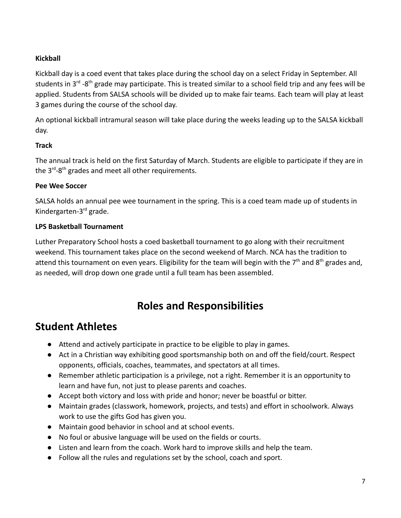#### **Kickball**

Kickball day is a coed event that takes place during the school day on a select Friday in September. All students in 3<sup>rd</sup> -8<sup>th</sup> grade may participate. This is treated similar to a school field trip and any fees will be applied. Students from SALSA schools will be divided up to make fair teams. Each team will play at least 3 games during the course of the school day.

An optional kickball intramural season will take place during the weeks leading up to the SALSA kickball day.

#### **Track**

The annual track is held on the first Saturday of March. Students are eligible to participate if they are in the 3<sup>rd</sup>-8<sup>th</sup> grades and meet all other requirements.

#### **Pee Wee Soccer**

SALSA holds an annual pee wee tournament in the spring. This is a coed team made up of students in Kindergarten-3rd grade.

#### **LPS Basketball Tournament**

Luther Preparatory School hosts a coed basketball tournament to go along with their recruitment weekend. This tournament takes place on the second weekend of March. NCA has the tradition to attend this tournament on even years. Eligibility for the team will begin with the  $7<sup>th</sup>$  and  $8<sup>th</sup>$  grades and, as needed, will drop down one grade until a full team has been assembled.

#### **Roles and Responsibilities**

#### **Student Athletes**

- Attend and actively participate in practice to be eligible to play in games.
- Act in a Christian way exhibiting good sportsmanship both on and off the field/court. Respect opponents, officials, coaches, teammates, and spectators at all times.
- Remember athletic participation is a privilege, not a right. Remember it is an opportunity to learn and have fun, not just to please parents and coaches.
- Accept both victory and loss with pride and honor; never be boastful or bitter.
- Maintain grades (classwork, homework, projects, and tests) and effort in schoolwork. Always work to use the gifts God has given you.
- Maintain good behavior in school and at school events.
- No foul or abusive language will be used on the fields or courts.
- Listen and learn from the coach. Work hard to improve skills and help the team.
- Follow all the rules and regulations set by the school, coach and sport.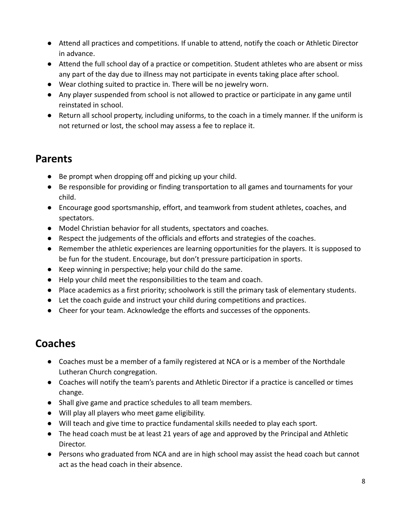- Attend all practices and competitions. If unable to attend, notify the coach or Athletic Director in advance.
- Attend the full school day of a practice or competition. Student athletes who are absent or miss any part of the day due to illness may not participate in events taking place after school.
- Wear clothing suited to practice in. There will be no jewelry worn.
- Any player suspended from school is not allowed to practice or participate in any game until reinstated in school.
- Return all school property, including uniforms, to the coach in a timely manner. If the uniform is not returned or lost, the school may assess a fee to replace it.

#### **Parents**

- Be prompt when dropping off and picking up your child.
- Be responsible for providing or finding transportation to all games and tournaments for your child.
- Encourage good sportsmanship, effort, and teamwork from student athletes, coaches, and spectators.
- Model Christian behavior for all students, spectators and coaches.
- Respect the judgements of the officials and efforts and strategies of the coaches.
- Remember the athletic experiences are learning opportunities for the players. It is supposed to be fun for the student. Encourage, but don't pressure participation in sports.
- Keep winning in perspective; help your child do the same.
- Help your child meet the responsibilities to the team and coach.
- Place academics as a first priority; schoolwork is still the primary task of elementary students.
- Let the coach guide and instruct your child during competitions and practices.
- Cheer for your team. Acknowledge the efforts and successes of the opponents.

## **Coaches**

- Coaches must be a member of a family registered at NCA or is a member of the Northdale Lutheran Church congregation.
- Coaches will notify the team's parents and Athletic Director if a practice is cancelled or times change.
- Shall give game and practice schedules to all team members.
- Will play all players who meet game eligibility.
- Will teach and give time to practice fundamental skills needed to play each sport.
- The head coach must be at least 21 years of age and approved by the Principal and Athletic Director.
- Persons who graduated from NCA and are in high school may assist the head coach but cannot act as the head coach in their absence.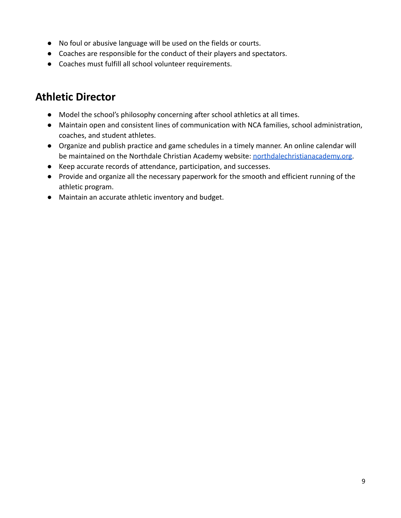- No foul or abusive language will be used on the fields or courts.
- Coaches are responsible for the conduct of their players and spectators.
- Coaches must fulfill all school volunteer requirements.

#### **Athletic Director**

- Model the school's philosophy concerning after school athletics at all times.
- Maintain open and consistent lines of communication with NCA families, school administration, coaches, and student athletes.
- Organize and publish practice and game schedules in a timely manner. An online calendar will be maintained on the Northdale Christian Academy website: [northdalechristianacademy.org.](https://northdalechristianacademy.org/)
- Keep accurate records of attendance, participation, and successes.
- Provide and organize all the necessary paperwork for the smooth and efficient running of the athletic program.
- Maintain an accurate athletic inventory and budget.